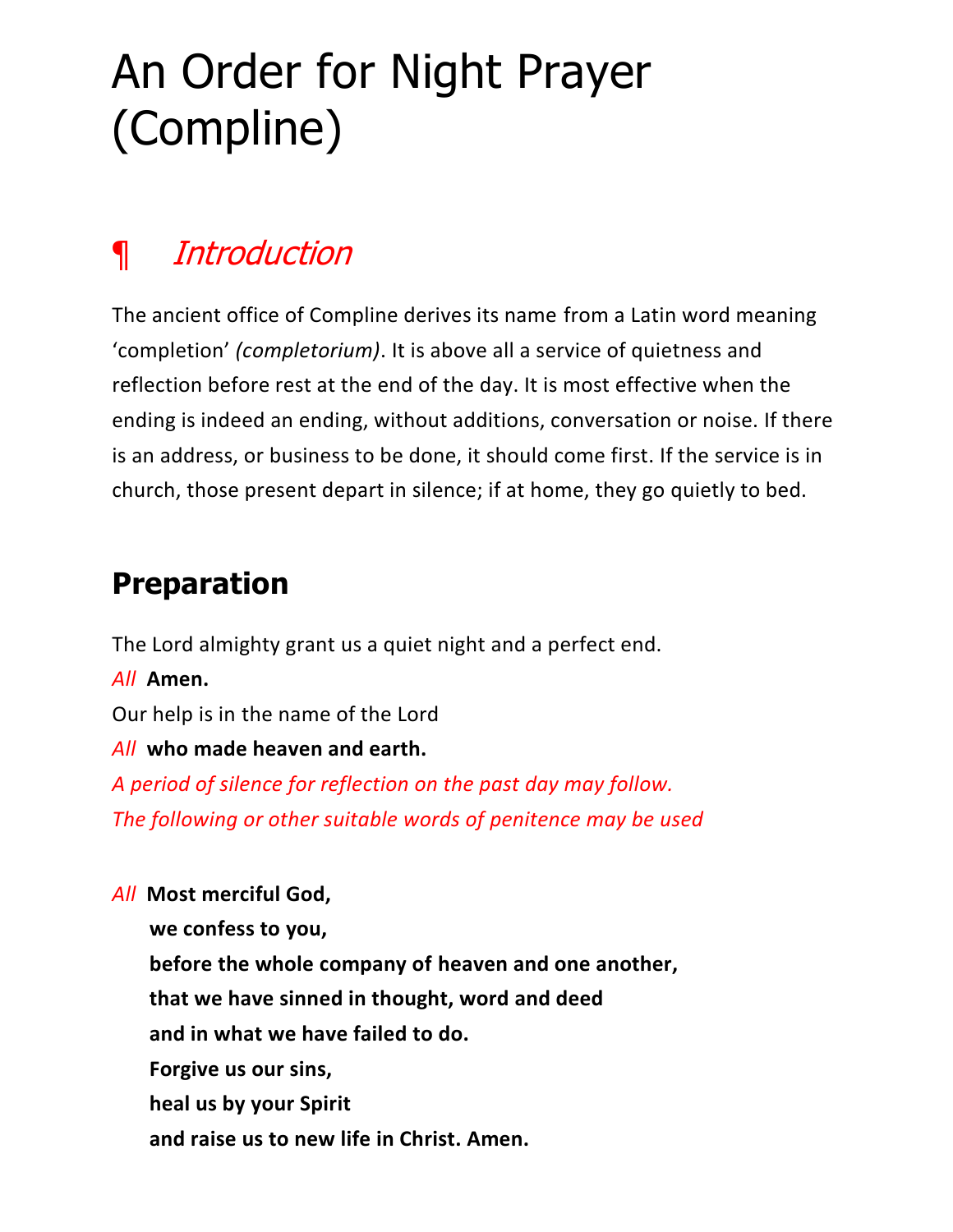# An Order for Night Prayer (Compline)

# ¶ [Introduction](https://www.churchofengland.org/prayer-and-worship/worship-texts-and-resources/common-worship/daily-prayer/night-prayer-compline#ch9a)

The ancient office of Compline derives its name from a Latin word meaning 'completion' *(completorium)*. It is above all a service of quietness and reflection before rest at the end of the day. It is most effective when the ending is indeed an ending, without additions, conversation or noise. If there is an address, or business to be done, it should come first. If the service is in church, those present depart in silence; if at home, they go quietly to bed.

# **Preparation**

The Lord almighty grant us a quiet night and a perfect end.

*All* **Amen.**

Our help is in the name of the Lord

### *All* **who made heaven and earth.**

*A period of silence for reflection on the past day may follow. The following or other suitable words of penitence may be used*

*All* **Most merciful God, we confess to you, before the whole company of heaven and one another, that we have sinned in thought, word and deed and in what we have failed to do. Forgive us our sins, heal us by your Spirit and raise us to new life in Christ. Amen.**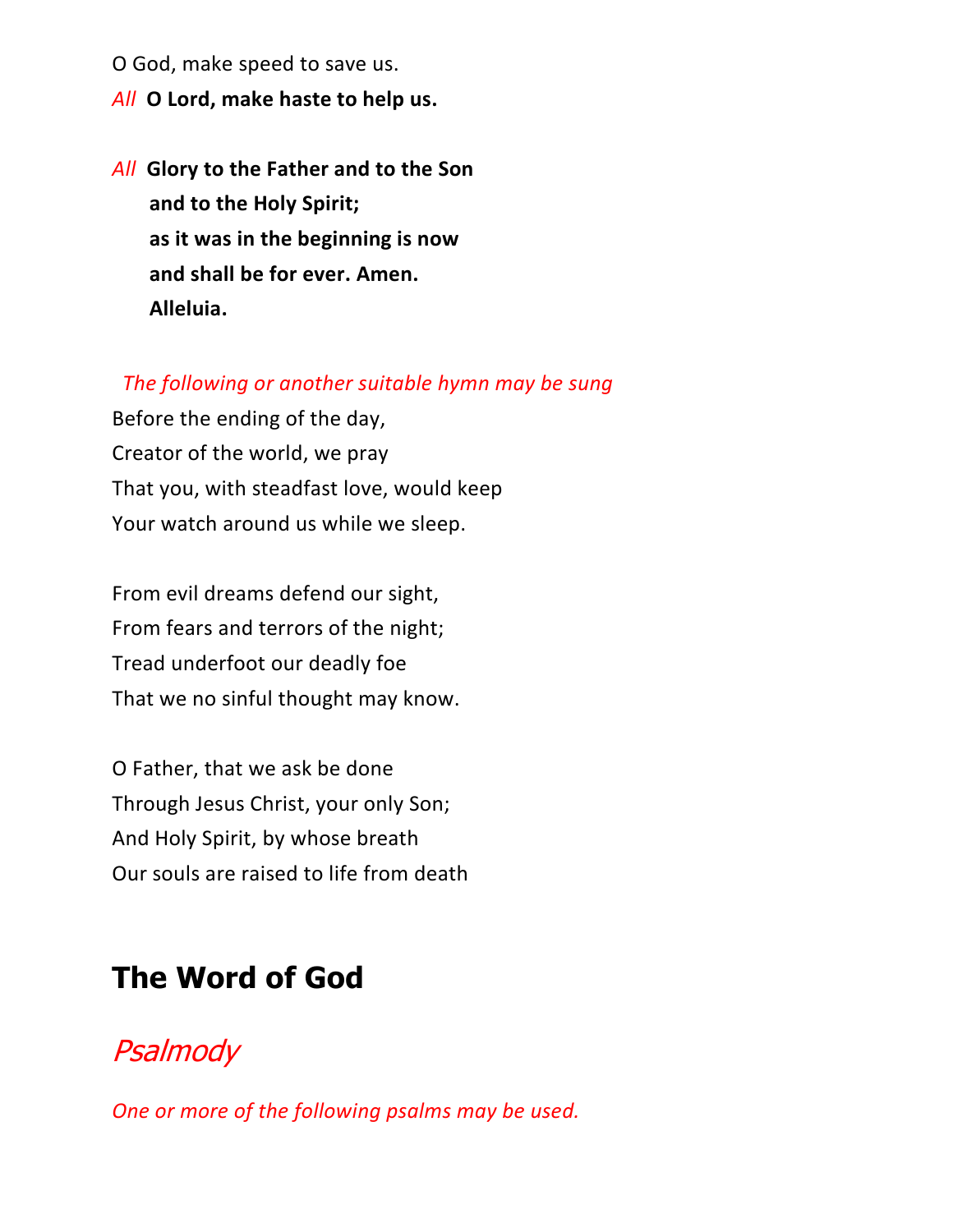O God, make speed to save us.

- *All* **O Lord, make haste to help us.**
- *All* **Glory to the Father and to the Son and to the Holy Spirit; as it was in the beginning is now and shall be for ever. Amen. Alleluia.**

#### *The following or another suitable hymn may be sung*

Before the ending of the day, Creator of the world, we pray That you, with steadfast love, would keep Your watch around us while we sleep.

From evil dreams defend our sight, From fears and terrors of the night; Tread underfoot our deadly foe That we no sinful thought may know.

O Father, that we ask be done Through Jesus Christ, your only Son; And Holy Spirit, by whose breath Our souls are raised to life from death

### **The Word of God**

### **[Psalmody](https://www.churchofengland.org/common-material/psalter#mm13a)**

*One or more of the following psalms may be used.*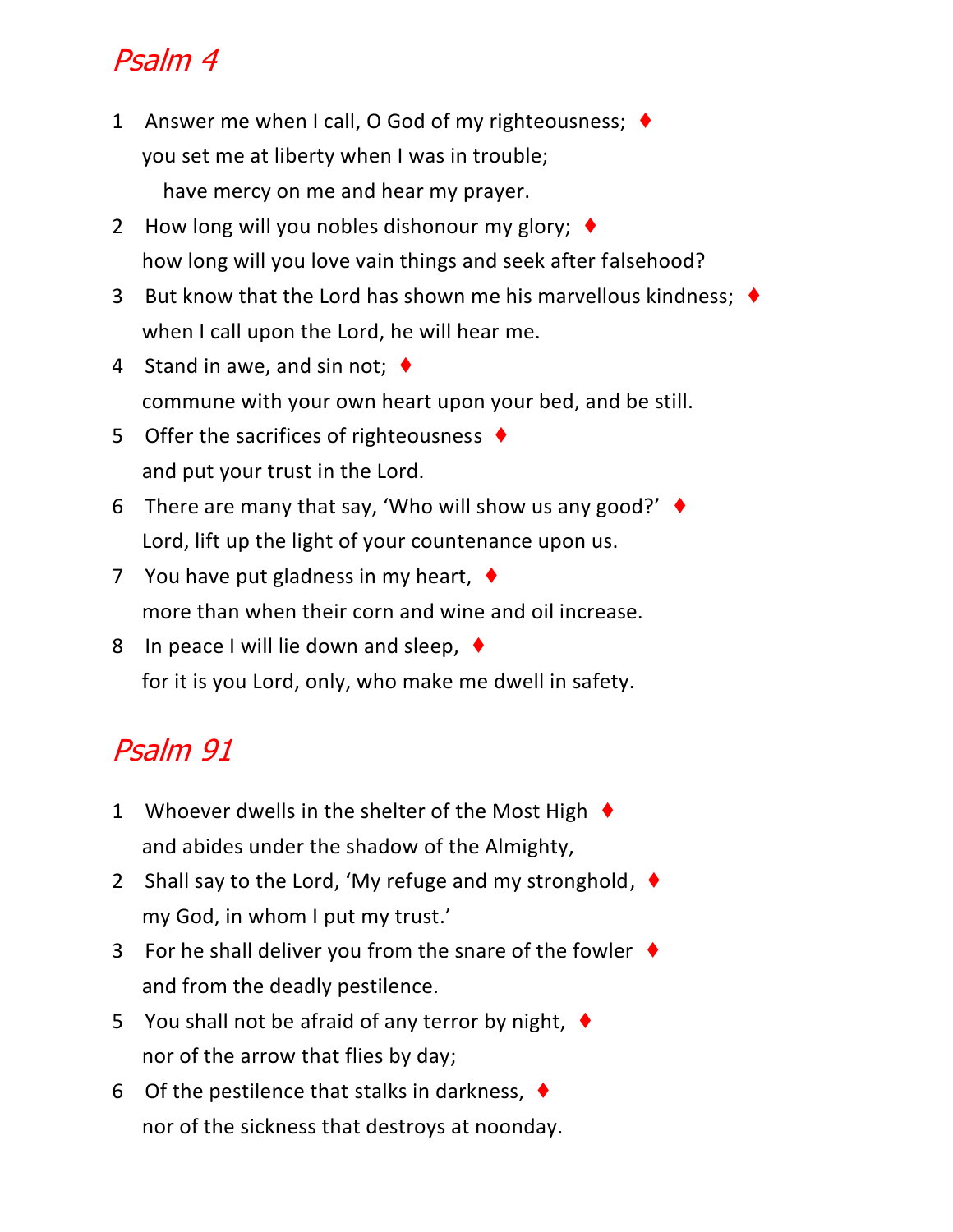# Psalm 4

- 1 Answer me when I call, O God of my righteousness; ♦ you set me at liberty when I was in trouble; have mercy on me and hear my prayer.
- 2 How long will you nobles dishonour my glory; ♦ how long will you love vain things and seek after falsehood?
- 3 But know that the Lord has shown me his marvellous kindness; ♦ when I call upon the Lord, he will hear me.
- 4 Stand in awe, and sin not;  $\blacklozenge$ commune with your own heart upon your bed, and be still.
- 5 Offer the sacrifices of righteousness ♦ and put your trust in the Lord.
- 6 There are many that say, 'Who will show us any good?' ♦ Lord, lift up the light of your countenance upon us.
- 7 You have put gladness in my heart, ♦ more than when their corn and wine and oil increase.
- 8 In peace I will lie down and sleep,  $\blacklozenge$ for it is you Lord, only, who make me dwell in safety.

# Psalm 91

- 1 Whoever dwells in the shelter of the Most High  $\blacklozenge$ and abides under the shadow of the Almighty,
- 2 Shall say to the Lord, 'My refuge and my stronghold,  $\blacklozenge$ my God, in whom I put my trust.'
- 3 For he shall deliver you from the snare of the fowler  $\blacklozenge$ and from the deadly pestilence.
- 5 You shall not be afraid of any terror by night, ♦ nor of the arrow that flies by day;
- 6 Of the pestilence that stalks in darkness,  $\blacklozenge$ nor of the sickness that destroys at noonday.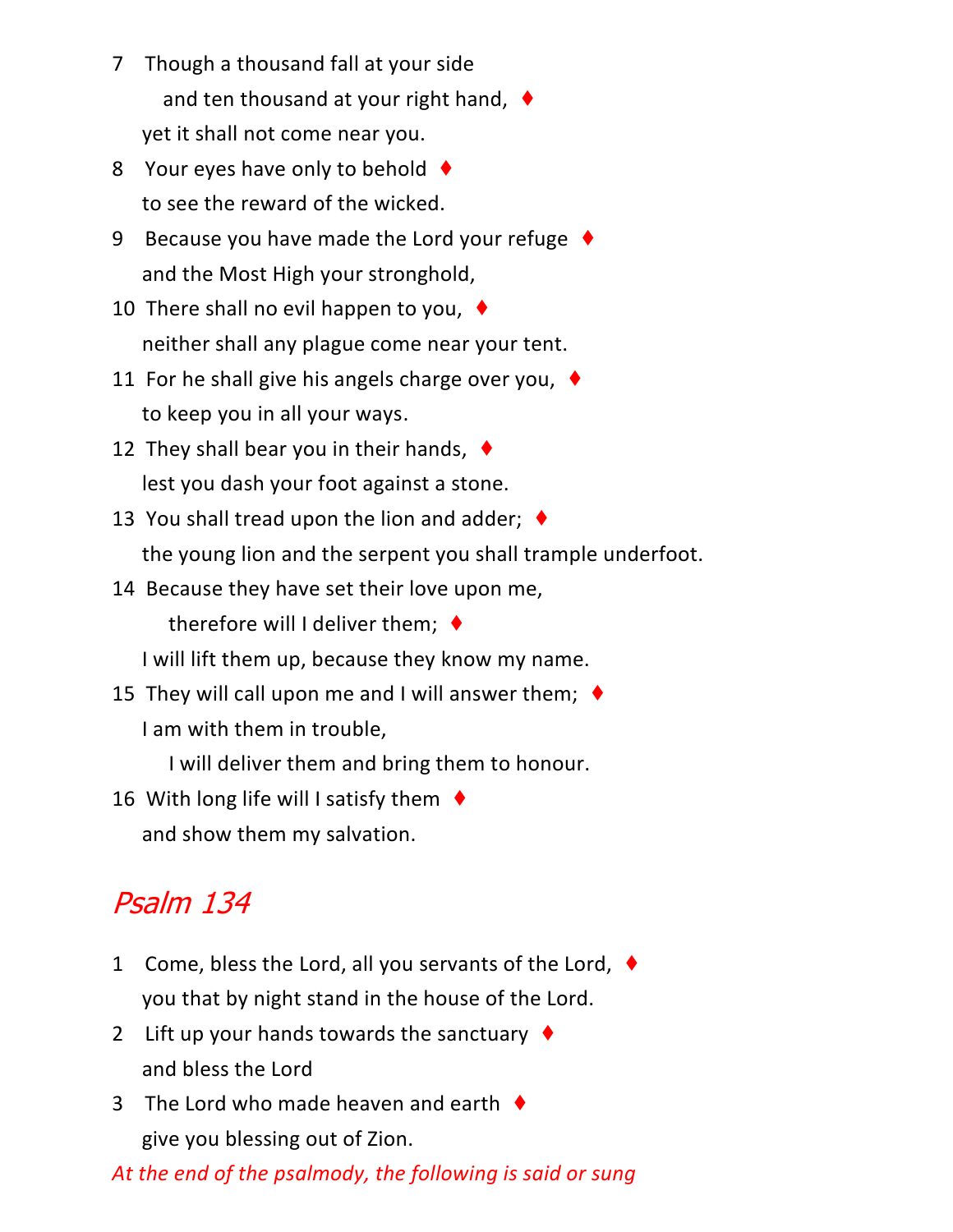- 7 Though a thousand fall at your side and ten thousand at your right hand, ♦ yet it shall not come near you.
- 8 Your eyes have only to behold ♦ to see the reward of the wicked.
- 9 Because you have made the Lord your refuge ♦ and the Most High your stronghold,
- 10 There shall no evil happen to you, ♦ neither shall any plague come near your tent.
- 11 For he shall give his angels charge over you,  $\blacklozenge$ to keep you in all your ways.
- 12 They shall bear you in their hands,  $\blacklozenge$ lest you dash your foot against a stone.
- 13 You shall tread upon the lion and adder;  $\blacklozenge$ the young lion and the serpent you shall trample underfoot.
- 14 Because they have set their love upon me, therefore will I deliver them;  $\blacklozenge$

I will lift them up, because they know my name.

15 They will call upon me and I will answer them;  $\blacklozenge$ I am with them in trouble,

I will deliver them and bring them to honour.

16 With long life will I satisfy them  $\triangleleft$ and show them my salvation.

# Psalm 134

- 1 Come, bless the Lord, all you servants of the Lord, ♦ you that by night stand in the house of the Lord.
- 2 Lift up your hands towards the sanctuary  $\blacklozenge$ and bless the Lord
- 3 The Lord who made heaven and earth  $\blacklozenge$ give you blessing out of Zion.

*At the end of the psalmody, the following is said or sung*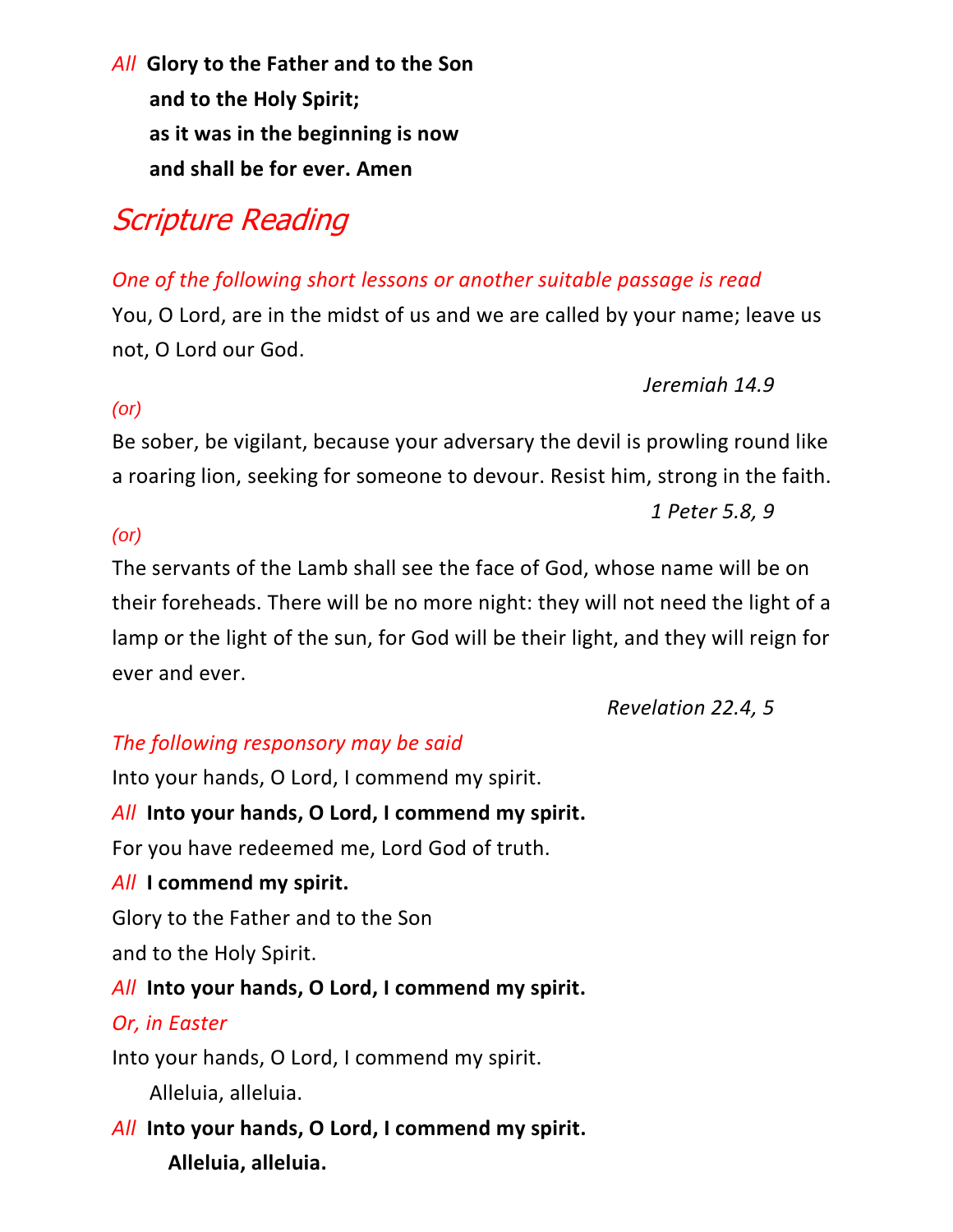*All* **Glory to the Father and to the Son and to the Holy Spirit; as it was in the beginning is now and shall be for ever. Amen**

# Scripture Reading

### *One of the following short lessons or another suitable passage is read*

You, O Lord, are in the midst of us and we are called by your name; leave us not, O Lord our God.

*Jeremiah 14.9*

### *(or)*

Be sober, be vigilant, because your adversary the devil is prowling round like a roaring lion, seeking for someone to devour. Resist him, strong in the faith.

*1 Peter 5.8, 9*

#### *(or)*

The servants of the Lamb shall see the face of God, whose name will be on their foreheads. There will be no more night: they will not need the light of a lamp or the light of the sun, for God will be their light, and they will reign for ever and ever.

*Revelation 22.4, 5*

### *The following responsory may be said*

Into your hands, O Lord, I commend my spirit.

*All* **Into your hands, O Lord, I commend my spirit.**

For you have redeemed me, Lord God of truth.

### *All* **I commend my spirit.**

Glory to the Father and to the Son

and to the Holy Spirit.

### *All* **Into your hands, O Lord, I commend my spirit.**

### *Or, in Easter*

Into your hands, O Lord, I commend my spirit.

Alleluia, alleluia.

*All* **Into your hands, O Lord, I commend my spirit. Alleluia, alleluia.**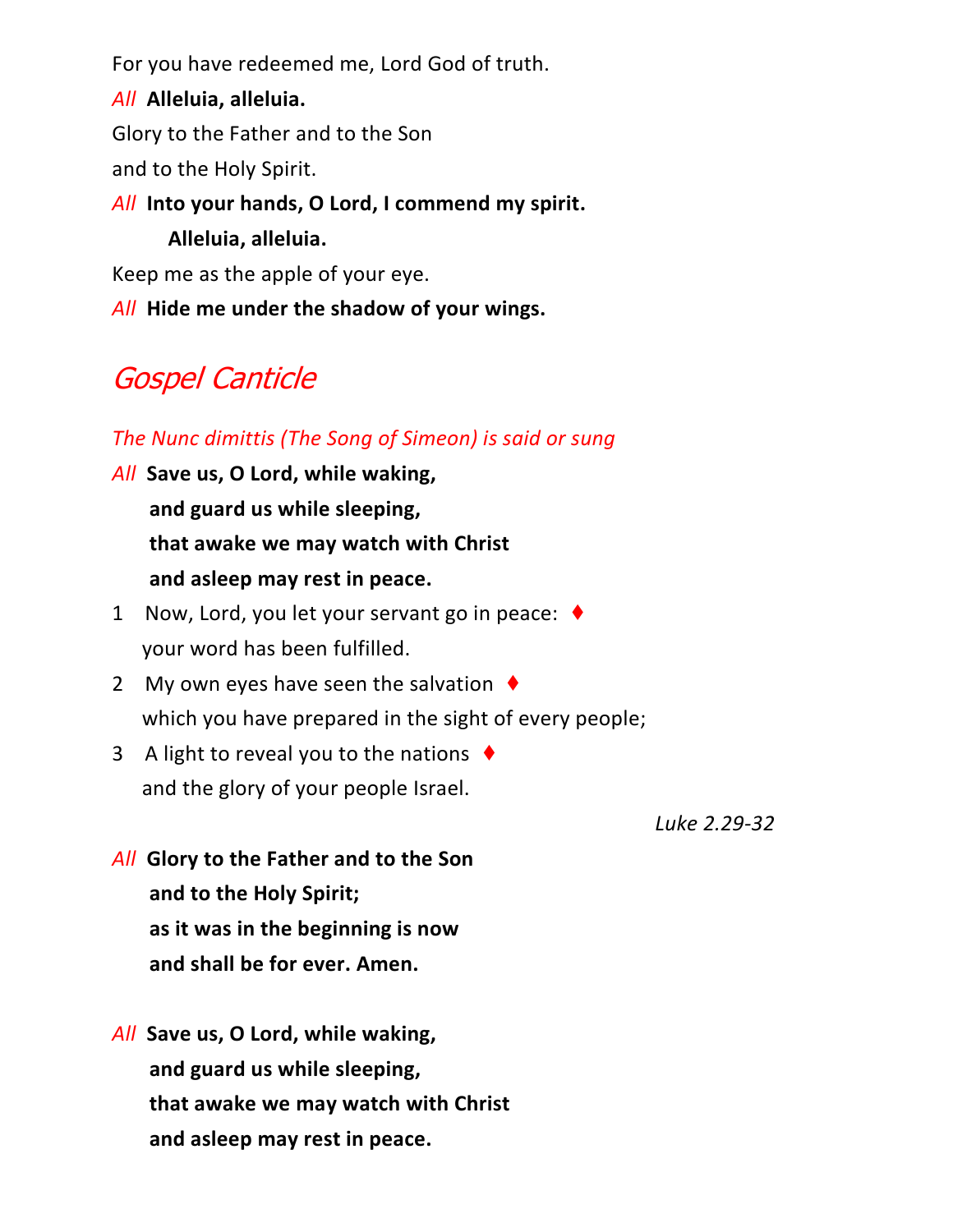For you have redeemed me, Lord God of truth.

*All* **Alleluia, alleluia.** Glory to the Father and to the Son and to the Holy Spirit. *All* **Into your hands, O Lord, I commend my spirit. Alleluia, alleluia.** Keep me as the apple of your eye. *All* **Hide me under the shadow of your wings.**

### Gospel Canticle

#### *The Nunc dimittis (The Song of Simeon) is said or sung*

- *All* **Save us, O Lord, while waking, and guard us while sleeping, that awake we may watch with Christ and asleep may rest in peace.**
- 1 Now, Lord, you let your servant go in peace: ♦ your word has been fulfilled.
- 2 My own eyes have seen the salvation  $\triangle$ which you have prepared in the sight of every people;
- 3 A light to reveal you to the nations  $\blacklozenge$ and the glory of your people Israel.

*Luke 2.29-32*

- *All* **Glory to the Father and to the Son and to the Holy Spirit; as it was in the beginning is now and shall be for ever. Amen.**
- *All* **Save us, O Lord, while waking, and guard us while sleeping, that awake we may watch with Christ and asleep may rest in peace.**